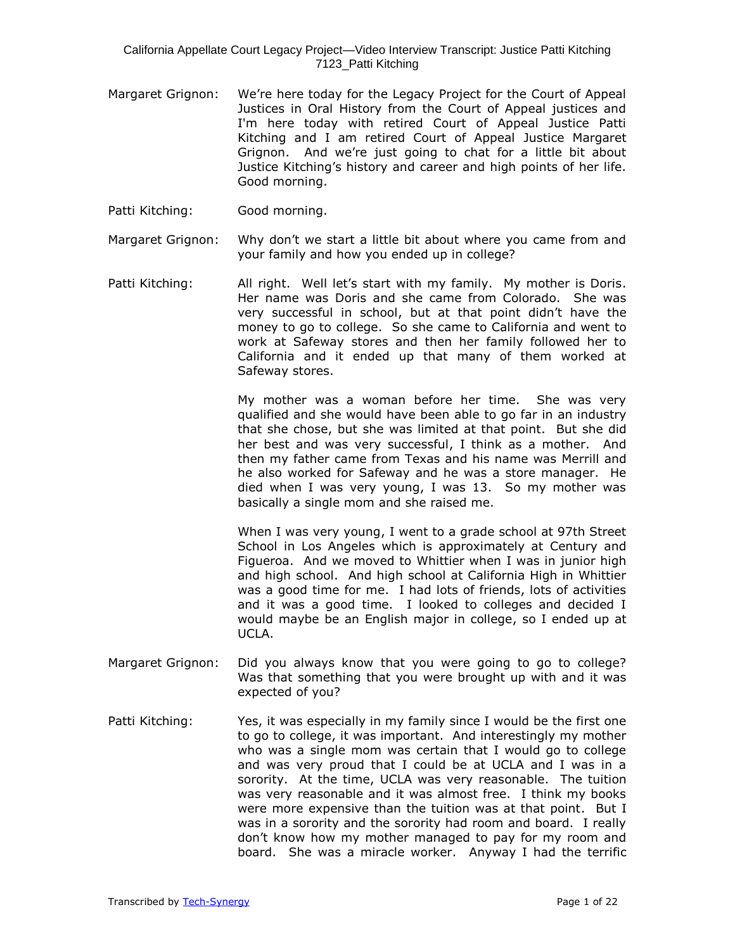- Margaret Grignon: We're here today for the Legacy Project for the Court of Appeal Justices in Oral History from the Court of Appeal justices and I'm here today with retired Court of Appeal Justice Patti Kitching and I am retired Court of Appeal Justice Margaret Grignon. And we're just going to chat for a little bit about Justice Kitching's history and career and high points of her life. Good morning.
- Patti Kitching: Good morning.
- Margaret Grignon: Why don't we start a little bit about where you came from and your family and how you ended up in college?
- Patti Kitching: All right. Well let's start with my family. My mother is Doris. Her name was Doris and she came from Colorado. She was very successful in school, but at that point didn't have the money to go to college. So she came to California and went to work at Safeway stores and then her family followed her to California and it ended up that many of them worked at Safeway stores.

My mother was a woman before her time. She was very qualified and she would have been able to go far in an industry that she chose, but she was limited at that point. But she did her best and was very successful, I think as a mother. And then my father came from Texas and his name was Merrill and he also worked for Safeway and he was a store manager. He died when I was very young, I was 13. So my mother was basically a single mom and she raised me.

When I was very young, I went to a grade school at 97th Street School in Los Angeles which is approximately at Century and Figueroa. And we moved to Whittier when I was in junior high and high school. And high school at California High in Whittier was a good time for me. I had lots of friends, lots of activities and it was a good time. I looked to colleges and decided I would maybe be an English major in college, so I ended up at UCLA.

- Margaret Grignon: Did you always know that you were going to go to college? Was that something that you were brought up with and it was expected of you?
- Patti Kitching: Yes, it was especially in my family since I would be the first one to go to college, it was important. And interestingly my mother who was a single mom was certain that I would go to college and was very proud that I could be at UCLA and I was in a sorority. At the time, UCLA was very reasonable. The tuition was very reasonable and it was almost free. I think my books were more expensive than the tuition was at that point. But I was in a sorority and the sorority had room and board. I really don't know how my mother managed to pay for my room and board. She was a miracle worker. Anyway I had the terrific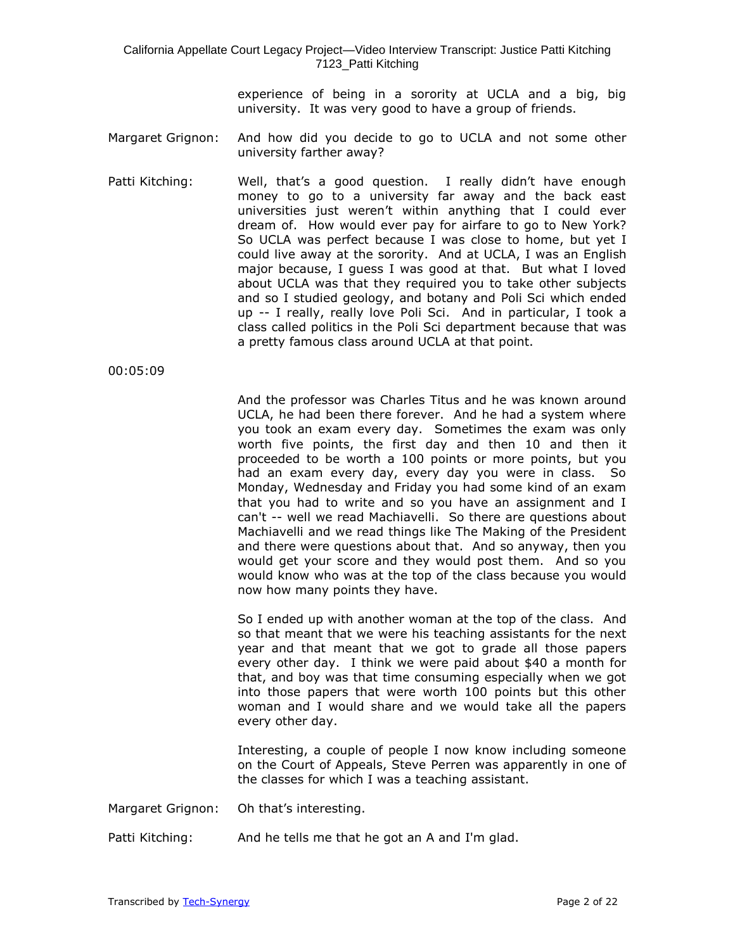experience of being in a sorority at UCLA and a big, big university. It was very good to have a group of friends.

- Margaret Grignon: And how did you decide to go to UCLA and not some other university farther away?
- Patti Kitching: Well, that's a good question. I really didn't have enough money to go to a university far away and the back east universities just weren't within anything that I could ever dream of. How would ever pay for airfare to go to New York? So UCLA was perfect because I was close to home, but yet I could live away at the sorority. And at UCLA, I was an English major because, I guess I was good at that. But what I loved about UCLA was that they required you to take other subjects and so I studied geology, and botany and Poli Sci which ended up -- I really, really love Poli Sci. And in particular, I took a class called politics in the Poli Sci department because that was a pretty famous class around UCLA at that point.

00:05:09

And the professor was Charles Titus and he was known around UCLA, he had been there forever. And he had a system where you took an exam every day. Sometimes the exam was only worth five points, the first day and then 10 and then it proceeded to be worth a 100 points or more points, but you had an exam every day, every day you were in class. So Monday, Wednesday and Friday you had some kind of an exam that you had to write and so you have an assignment and I can't -- well we read Machiavelli. So there are questions about Machiavelli and we read things like The Making of the President and there were questions about that. And so anyway, then you would get your score and they would post them. And so you would know who was at the top of the class because you would now how many points they have.

So I ended up with another woman at the top of the class. And so that meant that we were his teaching assistants for the next year and that meant that we got to grade all those papers every other day. I think we were paid about \$40 a month for that, and boy was that time consuming especially when we got into those papers that were worth 100 points but this other woman and I would share and we would take all the papers every other day.

Interesting, a couple of people I now know including someone on the Court of Appeals, Steve Perren was apparently in one of the classes for which I was a teaching assistant.

- Margaret Grignon: Oh that's interesting.
- Patti Kitching: And he tells me that he got an A and I'm glad.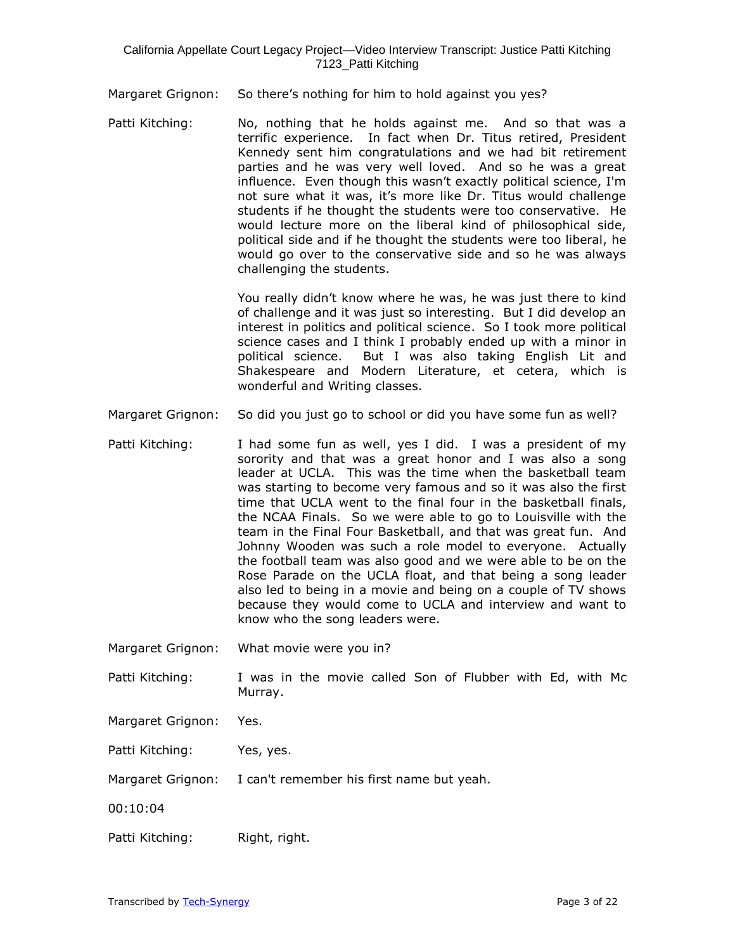Margaret Grignon: So there's nothing for him to hold against you yes?

Patti Kitching: No, nothing that he holds against me. And so that was a terrific experience. In fact when Dr. Titus retired, President Kennedy sent him congratulations and we had bit retirement parties and he was very well loved. And so he was a great influence. Even though this wasn't exactly political science, I'm not sure what it was, it's more like Dr. Titus would challenge students if he thought the students were too conservative. He would lecture more on the liberal kind of philosophical side, political side and if he thought the students were too liberal, he would go over to the conservative side and so he was always challenging the students.

> You really didn't know where he was, he was just there to kind of challenge and it was just so interesting. But I did develop an interest in politics and political science. So I took more political science cases and I think I probably ended up with a minor in political science. But I was also taking English Lit and Shakespeare and Modern Literature, et cetera, which is wonderful and Writing classes.

- Margaret Grignon: So did you just go to school or did you have some fun as well?
- Patti Kitching: I had some fun as well, yes I did. I was a president of my sorority and that was a great honor and I was also a song leader at UCLA. This was the time when the basketball team was starting to become very famous and so it was also the first time that UCLA went to the final four in the basketball finals, the NCAA Finals. So we were able to go to Louisville with the team in the Final Four Basketball, and that was great fun. And Johnny Wooden was such a role model to everyone. Actually the football team was also good and we were able to be on the Rose Parade on the UCLA float, and that being a song leader also led to being in a movie and being on a couple of TV shows because they would come to UCLA and interview and want to know who the song leaders were.
- Margaret Grignon: What movie were you in?
- Patti Kitching: I was in the movie called Son of Flubber with Ed, with Mc Murray.
- Margaret Grignon: Yes.
- Patti Kitching: Yes, yes.
- Margaret Grignon: I can't remember his first name but yeah.
- 00:10:04
- Patti Kitching: Right, right.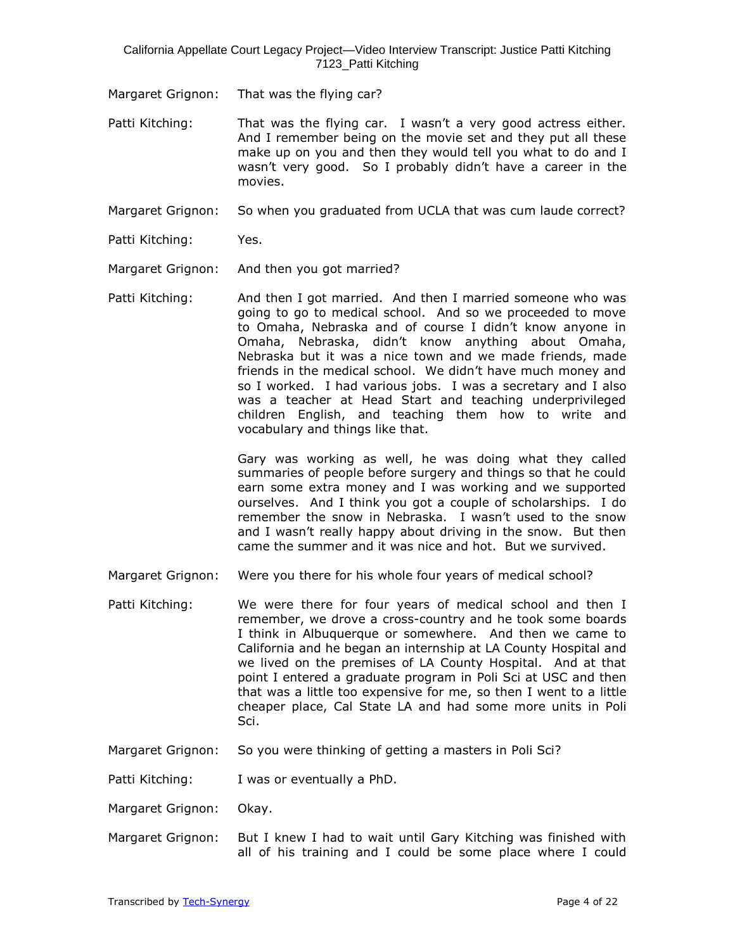Margaret Grignon: That was the flying car?

- Patti Kitching: That was the flying car. I wasn't a very good actress either. And I remember being on the movie set and they put all these make up on you and then they would tell you what to do and I wasn't very good. So I probably didn't have a career in the movies.
- Margaret Grignon: So when you graduated from UCLA that was cum laude correct?
- Patti Kitching: Yes.
- Margaret Grignon: And then you got married?
- Patti Kitching: And then I got married. And then I married someone who was going to go to medical school. And so we proceeded to move to Omaha, Nebraska and of course I didn't know anyone in Omaha, Nebraska, didn't know anything about Omaha, Nebraska but it was a nice town and we made friends, made friends in the medical school. We didn't have much money and so I worked. I had various jobs. I was a secretary and I also was a teacher at Head Start and teaching underprivileged children English, and teaching them how to write and vocabulary and things like that.

Gary was working as well, he was doing what they called summaries of people before surgery and things so that he could earn some extra money and I was working and we supported ourselves. And I think you got a couple of scholarships. I do remember the snow in Nebraska. I wasn't used to the snow and I wasn't really happy about driving in the snow. But then came the summer and it was nice and hot. But we survived.

- Margaret Grignon: Were you there for his whole four years of medical school?
- Patti Kitching: We were there for four years of medical school and then I remember, we drove a cross-country and he took some boards I think in Albuquerque or somewhere. And then we came to California and he began an internship at LA County Hospital and we lived on the premises of LA County Hospital. And at that point I entered a graduate program in Poli Sci at USC and then that was a little too expensive for me, so then I went to a little cheaper place, Cal State LA and had some more units in Poli Sci.
- Margaret Grignon: So you were thinking of getting a masters in Poli Sci?

Patti Kitching: I was or eventually a PhD.

- Margaret Grignon: Okay.
- Margaret Grignon: But I knew I had to wait until Gary Kitching was finished with all of his training and I could be some place where I could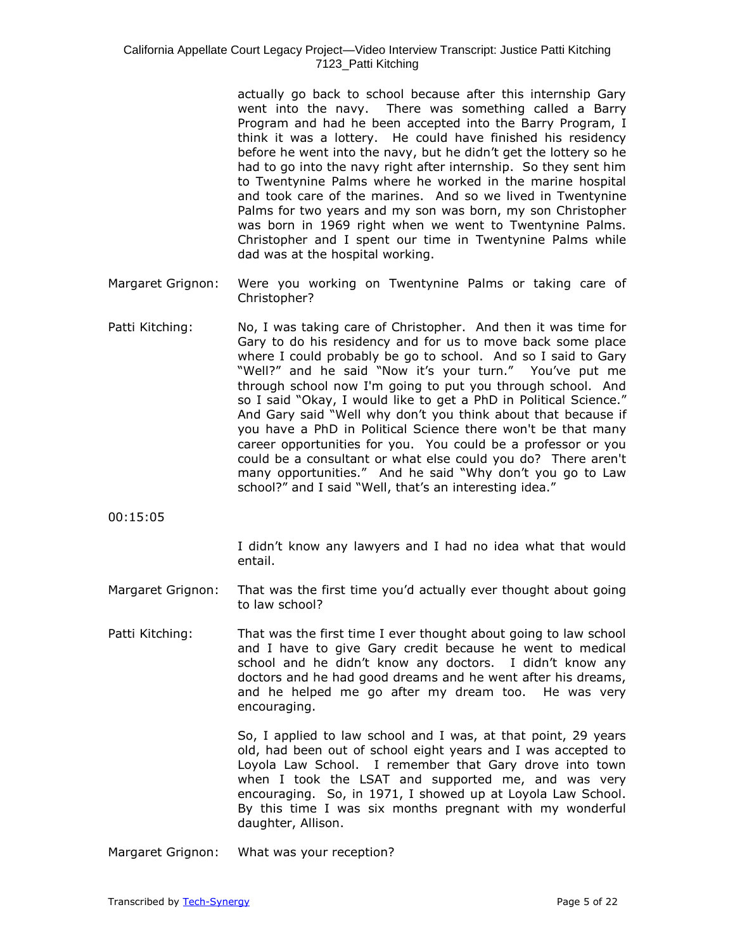actually go back to school because after this internship Gary went into the navy. There was something called a Barry Program and had he been accepted into the Barry Program, I think it was a lottery. He could have finished his residency before he went into the navy, but he didn't get the lottery so he had to go into the navy right after internship. So they sent him to Twentynine Palms where he worked in the marine hospital and took care of the marines. And so we lived in Twentynine Palms for two years and my son was born, my son Christopher was born in 1969 right when we went to Twentynine Palms. Christopher and I spent our time in Twentynine Palms while dad was at the hospital working.

- Margaret Grignon: Were you working on Twentynine Palms or taking care of Christopher?
- Patti Kitching: No, I was taking care of Christopher. And then it was time for Gary to do his residency and for us to move back some place where I could probably be go to school. And so I said to Gary "Well?" and he said "Now it's your turn." You've put me through school now I'm going to put you through school. And so I said "Okay, I would like to get a PhD in Political Science." And Gary said "Well why don't you think about that because if you have a PhD in Political Science there won't be that many career opportunities for you. You could be a professor or you could be a consultant or what else could you do? There aren't many opportunities." And he said "Why don't you go to Law school?" and I said "Well, that's an interesting idea."

00:15:05

I didn't know any lawyers and I had no idea what that would entail.

- Margaret Grignon: That was the first time you'd actually ever thought about going to law school?
- Patti Kitching: That was the first time I ever thought about going to law school and I have to give Gary credit because he went to medical school and he didn't know any doctors. I didn't know any doctors and he had good dreams and he went after his dreams, and he helped me go after my dream too. He was very encouraging.

So, I applied to law school and I was, at that point, 29 years old, had been out of school eight years and I was accepted to Loyola Law School. I remember that Gary drove into town when I took the LSAT and supported me, and was very encouraging. So, in 1971, I showed up at Loyola Law School. By this time I was six months pregnant with my wonderful daughter, Allison.

Margaret Grignon: What was your reception?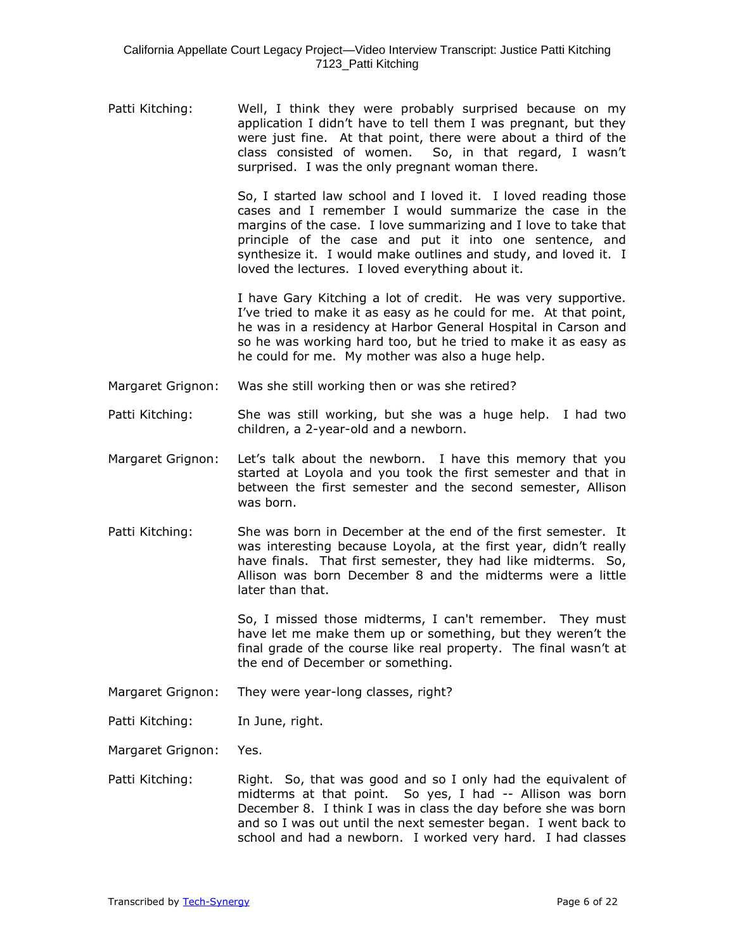Patti Kitching: Well, I think they were probably surprised because on my application I didn't have to tell them I was pregnant, but they were just fine. At that point, there were about a third of the class consisted of women. So, in that regard, I wasn't So, in that regard, I wasn't surprised. I was the only pregnant woman there.

> So, I started law school and I loved it. I loved reading those cases and I remember I would summarize the case in the margins of the case. I love summarizing and I love to take that principle of the case and put it into one sentence, and synthesize it. I would make outlines and study, and loved it. I loved the lectures. I loved everything about it.

> I have Gary Kitching a lot of credit. He was very supportive. I've tried to make it as easy as he could for me. At that point, he was in a residency at Harbor General Hospital in Carson and so he was working hard too, but he tried to make it as easy as he could for me. My mother was also a huge help.

- Margaret Grignon: Was she still working then or was she retired?
- Patti Kitching: She was still working, but she was a huge help. I had two children, a 2-year-old and a newborn.
- Margaret Grignon: Let's talk about the newborn. I have this memory that you started at Loyola and you took the first semester and that in between the first semester and the second semester, Allison was born.
- Patti Kitching: She was born in December at the end of the first semester. It was interesting because Loyola, at the first year, didn't really have finals. That first semester, they had like midterms. So, Allison was born December 8 and the midterms were a little later than that.

So, I missed those midterms, I can't remember. They must have let me make them up or something, but they weren't the final grade of the course like real property. The final wasn't at the end of December or something.

- Margaret Grignon: They were year-long classes, right?
- Patti Kitching: In June, right.

Margaret Grignon: Yes.

Patti Kitching: Right. So, that was good and so I only had the equivalent of midterms at that point. So yes, I had -- Allison was born December 8. I think I was in class the day before she was born and so I was out until the next semester began. I went back to school and had a newborn. I worked very hard. I had classes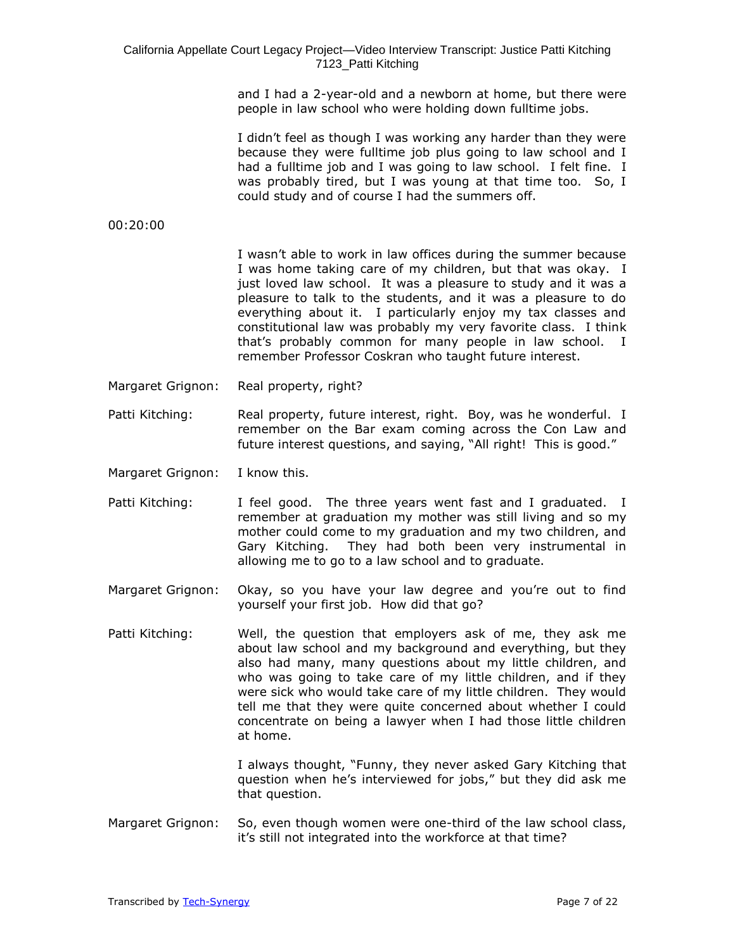and I had a 2-year-old and a newborn at home, but there were people in law school who were holding down fulltime jobs.

I didn't feel as though I was working any harder than they were because they were fulltime job plus going to law school and I had a fulltime job and I was going to law school. I felt fine. I was probably tired, but I was young at that time too. So, I could study and of course I had the summers off.

00:20:00

I wasn't able to work in law offices during the summer because I was home taking care of my children, but that was okay. I just loved law school. It was a pleasure to study and it was a pleasure to talk to the students, and it was a pleasure to do everything about it. I particularly enjoy my tax classes and constitutional law was probably my very favorite class. I think that's probably common for many people in law school. I remember Professor Coskran who taught future interest.

- Margaret Grignon: Real property, right?
- Patti Kitching: Real property, future interest, right. Boy, was he wonderful. I remember on the Bar exam coming across the Con Law and future interest questions, and saying, "All right! This is good."
- Margaret Grignon: I know this.
- Patti Kitching: I feel good. The three years went fast and I graduated. I remember at graduation my mother was still living and so my mother could come to my graduation and my two children, and Gary Kitching. They had both been very instrumental in allowing me to go to a law school and to graduate.
- Margaret Grignon: Okay, so you have your law degree and you're out to find yourself your first job. How did that go?
- Patti Kitching: Well, the question that employers ask of me, they ask me about law school and my background and everything, but they also had many, many questions about my little children, and who was going to take care of my little children, and if they were sick who would take care of my little children. They would tell me that they were quite concerned about whether I could concentrate on being a lawyer when I had those little children at home.

I always thought, "Funny, they never asked Gary Kitching that question when he's interviewed for jobs," but they did ask me that question.

Margaret Grignon: So, even though women were one-third of the law school class, it's still not integrated into the workforce at that time?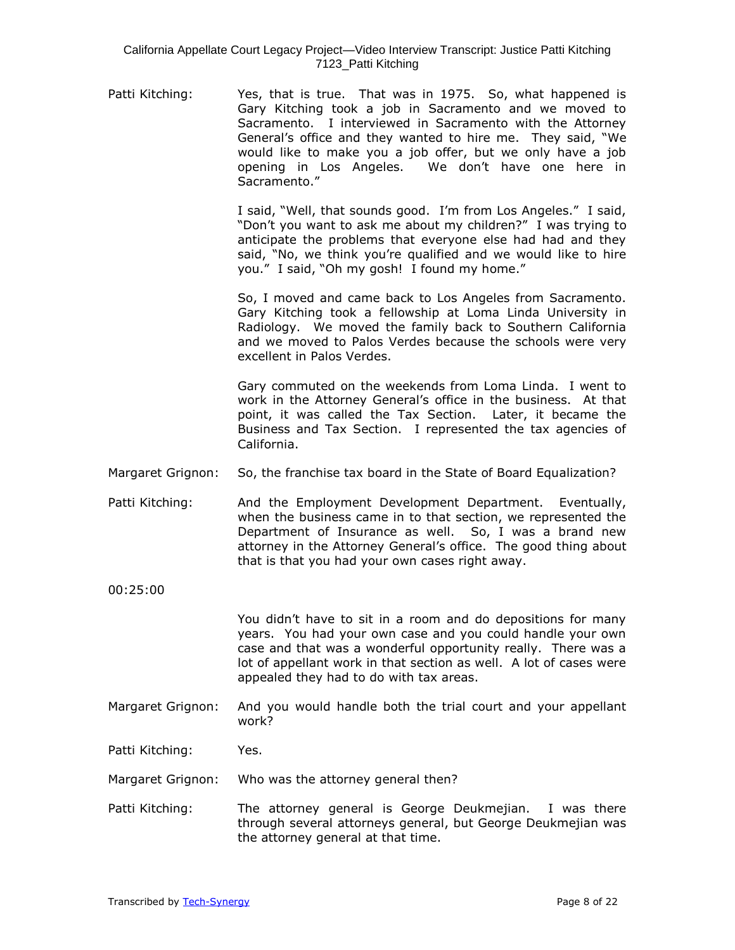Patti Kitching: Yes, that is true. That was in 1975. So, what happened is Gary Kitching took a job in Sacramento and we moved to Sacramento. I interviewed in Sacramento with the Attorney General's office and they wanted to hire me. They said, "We would like to make you a job offer, but we only have a job opening in Los Angeles. We don't have one here in Sacramento."

> I said, "Well, that sounds good. I'm from Los Angeles." I said, "Don't you want to ask me about my children?" I was trying to anticipate the problems that everyone else had had and they said, "No, we think you're qualified and we would like to hire you." I said, "Oh my gosh! I found my home."

> So, I moved and came back to Los Angeles from Sacramento. Gary Kitching took a fellowship at Loma Linda University in Radiology. We moved the family back to Southern California and we moved to Palos Verdes because the schools were very excellent in Palos Verdes.

> Gary commuted on the weekends from Loma Linda. I went to work in the Attorney General's office in the business. At that point, it was called the Tax Section. Later, it became the Business and Tax Section. I represented the tax agencies of California.

- Margaret Grignon: So, the franchise tax board in the State of Board Equalization?
- Patti Kitching: And the Employment Development Department. Eventually, when the business came in to that section, we represented the Department of Insurance as well. So, I was a brand new attorney in the Attorney General's office. The good thing about that is that you had your own cases right away.
- 00:25:00

You didn't have to sit in a room and do depositions for many years. You had your own case and you could handle your own case and that was a wonderful opportunity really. There was a lot of appellant work in that section as well. A lot of cases were appealed they had to do with tax areas.

Margaret Grignon: And you would handle both the trial court and your appellant work?

Patti Kitching: Yes.

Margaret Grignon: Who was the attorney general then?

Patti Kitching: The attorney general is George Deukmejian. I was there through several attorneys general, but George Deukmejian was the attorney general at that time.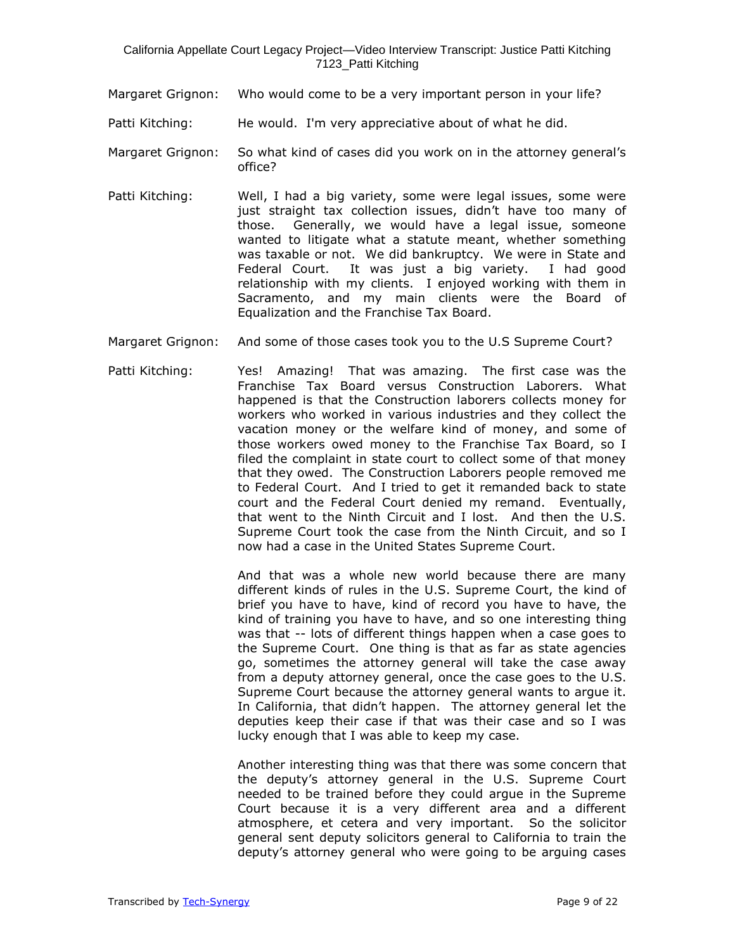- Margaret Grignon: Who would come to be a very important person in your life?
- Patti Kitching: He would. I'm very appreciative about of what he did.
- Margaret Grignon: So what kind of cases did you work on in the attorney general's office?
- Patti Kitching: Well, I had a big variety, some were legal issues, some were just straight tax collection issues, didn't have too many of those. Generally, we would have a legal issue, someone wanted to litigate what a statute meant, whether something was taxable or not. We did bankruptcy. We were in State and Federal Court. It was just a big variety. I had good relationship with my clients. I enjoyed working with them in Sacramento, and my main clients were the Board of Equalization and the Franchise Tax Board.
- Margaret Grignon: And some of those cases took you to the U.S Supreme Court?
- Patti Kitching: Yes! Amazing! That was amazing. The first case was the Franchise Tax Board versus Construction Laborers. What happened is that the Construction laborers collects money for workers who worked in various industries and they collect the vacation money or the welfare kind of money, and some of those workers owed money to the Franchise Tax Board, so I filed the complaint in state court to collect some of that money that they owed. The Construction Laborers people removed me to Federal Court. And I tried to get it remanded back to state court and the Federal Court denied my remand. Eventually, that went to the Ninth Circuit and I lost. And then the U.S. Supreme Court took the case from the Ninth Circuit, and so I now had a case in the United States Supreme Court.

And that was a whole new world because there are many different kinds of rules in the U.S. Supreme Court, the kind of brief you have to have, kind of record you have to have, the kind of training you have to have, and so one interesting thing was that -- lots of different things happen when a case goes to the Supreme Court. One thing is that as far as state agencies go, sometimes the attorney general will take the case away from a deputy attorney general, once the case goes to the U.S. Supreme Court because the attorney general wants to argue it. In California, that didn't happen. The attorney general let the deputies keep their case if that was their case and so I was lucky enough that I was able to keep my case.

Another interesting thing was that there was some concern that the deputy's attorney general in the U.S. Supreme Court needed to be trained before they could argue in the Supreme Court because it is a very different area and a different atmosphere, et cetera and very important. So the solicitor general sent deputy solicitors general to California to train the deputy's attorney general who were going to be arguing cases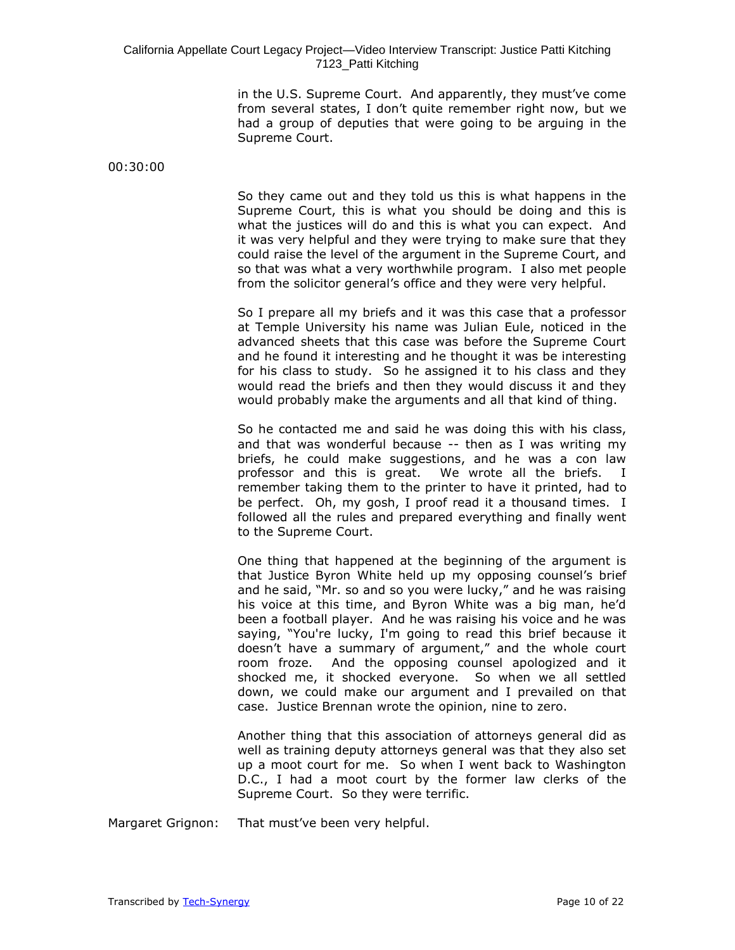in the U.S. Supreme Court. And apparently, they must've come from several states, I don't quite remember right now, but we had a group of deputies that were going to be arguing in the Supreme Court.

00:30:00

So they came out and they told us this is what happens in the Supreme Court, this is what you should be doing and this is what the justices will do and this is what you can expect. And it was very helpful and they were trying to make sure that they could raise the level of the argument in the Supreme Court, and so that was what a very worthwhile program. I also met people from the solicitor general's office and they were very helpful.

So I prepare all my briefs and it was this case that a professor at Temple University his name was Julian Eule, noticed in the advanced sheets that this case was before the Supreme Court and he found it interesting and he thought it was be interesting for his class to study. So he assigned it to his class and they would read the briefs and then they would discuss it and they would probably make the arguments and all that kind of thing.

So he contacted me and said he was doing this with his class, and that was wonderful because -- then as I was writing my briefs, he could make suggestions, and he was a con law professor and this is great. We wrote all the briefs. I remember taking them to the printer to have it printed, had to be perfect. Oh, my gosh, I proof read it a thousand times. I followed all the rules and prepared everything and finally went to the Supreme Court.

One thing that happened at the beginning of the argument is that Justice Byron White held up my opposing counsel's brief and he said, "Mr. so and so you were lucky," and he was raising his voice at this time, and Byron White was a big man, he'd been a football player. And he was raising his voice and he was saying, "You're lucky, I'm going to read this brief because it doesn't have a summary of argument," and the whole court room froze. And the opposing counsel apologized and it shocked me, it shocked everyone. So when we all settled down, we could make our argument and I prevailed on that case. Justice Brennan wrote the opinion, nine to zero.

Another thing that this association of attorneys general did as well as training deputy attorneys general was that they also set up a moot court for me. So when I went back to Washington D.C., I had a moot court by the former law clerks of the Supreme Court. So they were terrific.

Margaret Grignon: That must've been very helpful.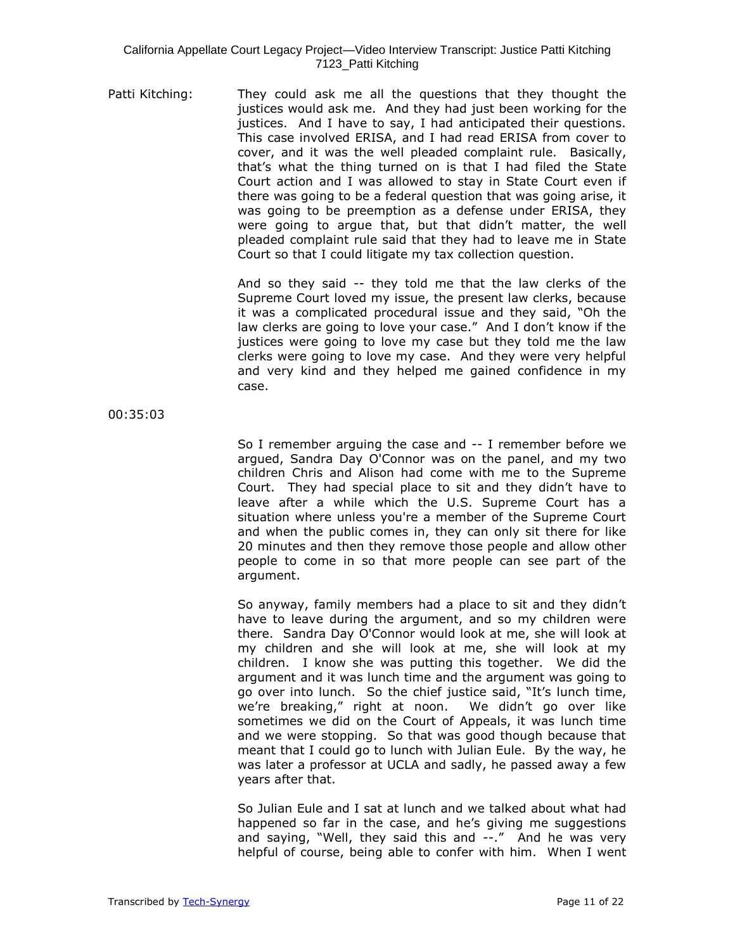Patti Kitching: They could ask me all the questions that they thought the justices would ask me. And they had just been working for the justices. And I have to say, I had anticipated their questions. This case involved ERISA, and I had read ERISA from cover to cover, and it was the well pleaded complaint rule. Basically, that's what the thing turned on is that I had filed the State Court action and I was allowed to stay in State Court even if there was going to be a federal question that was going arise, it was going to be preemption as a defense under ERISA, they were going to argue that, but that didn't matter, the well pleaded complaint rule said that they had to leave me in State Court so that I could litigate my tax collection question.

> And so they said -- they told me that the law clerks of the Supreme Court loved my issue, the present law clerks, because it was a complicated procedural issue and they said, "Oh the law clerks are going to love your case." And I don't know if the justices were going to love my case but they told me the law clerks were going to love my case. And they were very helpful and very kind and they helped me gained confidence in my case.

00:35:03

So I remember arguing the case and -- I remember before we argued, Sandra Day O'Connor was on the panel, and my two children Chris and Alison had come with me to the Supreme Court. They had special place to sit and they didn't have to leave after a while which the U.S. Supreme Court has a situation where unless you're a member of the Supreme Court and when the public comes in, they can only sit there for like 20 minutes and then they remove those people and allow other people to come in so that more people can see part of the argument.

So anyway, family members had a place to sit and they didn't have to leave during the argument, and so my children were there. Sandra Day O'Connor would look at me, she will look at my children and she will look at me, she will look at my children. I know she was putting this together. We did the argument and it was lunch time and the argument was going to go over into lunch. So the chief justice said, "It's lunch time, we're breaking," right at noon. We didn't go over like sometimes we did on the Court of Appeals, it was lunch time and we were stopping. So that was good though because that meant that I could go to lunch with Julian Eule. By the way, he was later a professor at UCLA and sadly, he passed away a few years after that.

So Julian Eule and I sat at lunch and we talked about what had happened so far in the case, and he's giving me suggestions and saying, "Well, they said this and --." And he was very helpful of course, being able to confer with him. When I went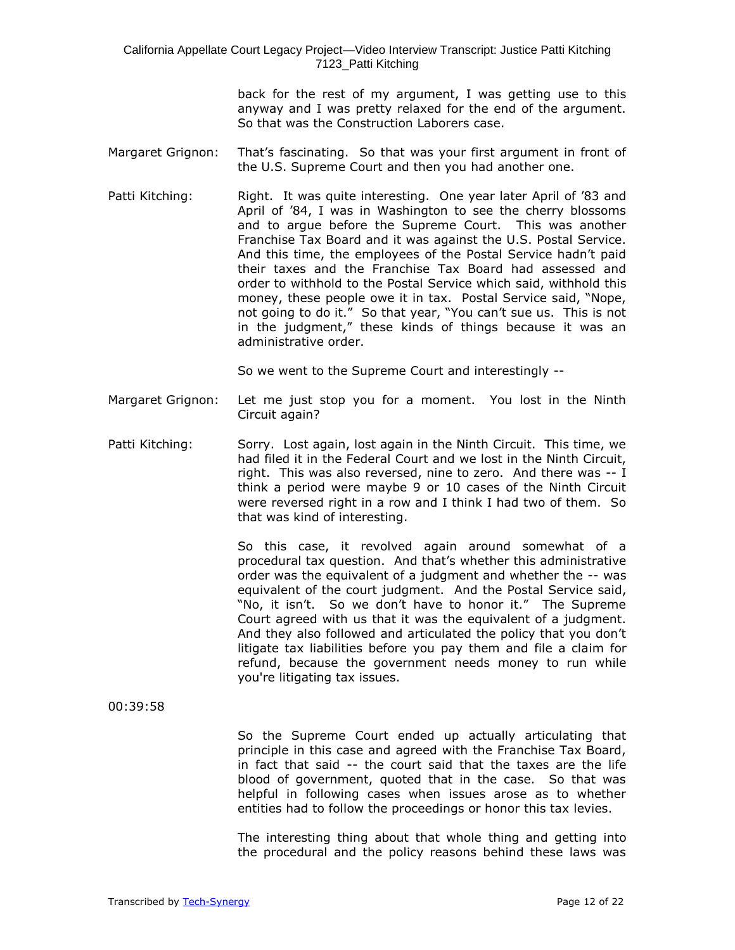> back for the rest of my argument, I was getting use to this anyway and I was pretty relaxed for the end of the argument. So that was the Construction Laborers case.

- Margaret Grignon: That's fascinating. So that was your first argument in front of the U.S. Supreme Court and then you had another one.
- Patti Kitching: Right. It was quite interesting. One year later April of '83 and April of '84, I was in Washington to see the cherry blossoms and to argue before the Supreme Court. This was another Franchise Tax Board and it was against the U.S. Postal Service. And this time, the employees of the Postal Service hadn't paid their taxes and the Franchise Tax Board had assessed and order to withhold to the Postal Service which said, withhold this money, these people owe it in tax. Postal Service said, "Nope, not going to do it." So that year, "You can't sue us. This is not in the judgment," these kinds of things because it was an administrative order.

So we went to the Supreme Court and interestingly --

- Margaret Grignon: Let me just stop you for a moment. You lost in the Ninth Circuit again?
- Patti Kitching: Sorry. Lost again, lost again in the Ninth Circuit. This time, we had filed it in the Federal Court and we lost in the Ninth Circuit, right. This was also reversed, nine to zero. And there was -- I think a period were maybe 9 or 10 cases of the Ninth Circuit were reversed right in a row and I think I had two of them. So that was kind of interesting.

So this case, it revolved again around somewhat of a procedural tax question. And that's whether this administrative order was the equivalent of a judgment and whether the -- was equivalent of the court judgment. And the Postal Service said, "No, it isn't. So we don't have to honor it." The Supreme Court agreed with us that it was the equivalent of a judgment. And they also followed and articulated the policy that you don't litigate tax liabilities before you pay them and file a claim for refund, because the government needs money to run while you're litigating tax issues.

00:39:58

So the Supreme Court ended up actually articulating that principle in this case and agreed with the Franchise Tax Board, in fact that said -- the court said that the taxes are the life blood of government, quoted that in the case. So that was helpful in following cases when issues arose as to whether entities had to follow the proceedings or honor this tax levies.

The interesting thing about that whole thing and getting into the procedural and the policy reasons behind these laws was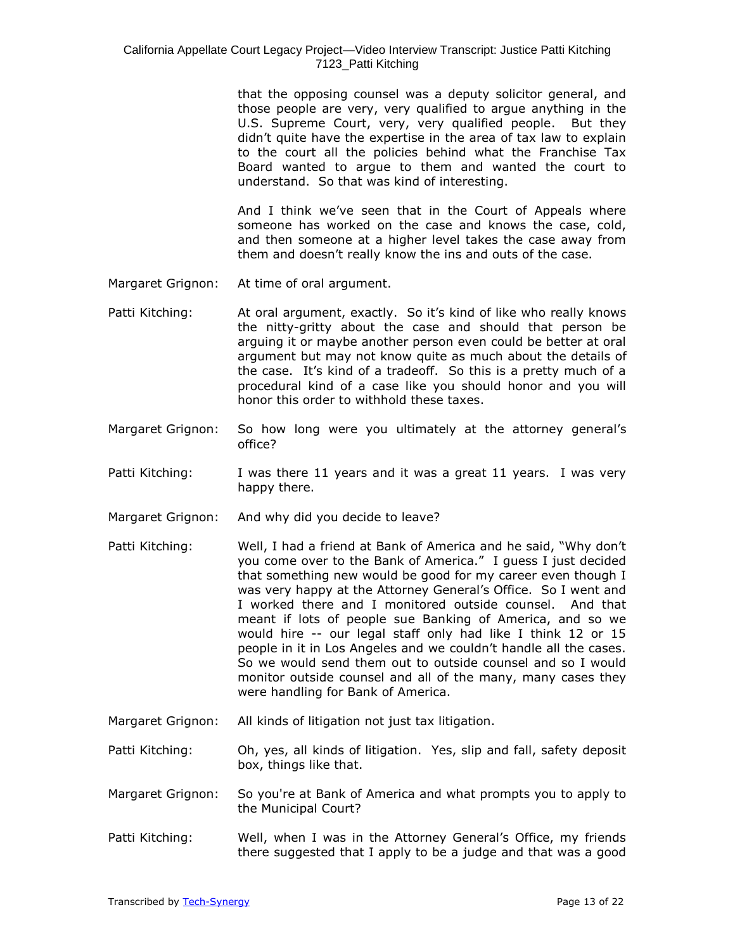that the opposing counsel was a deputy solicitor general, and those people are very, very qualified to argue anything in the U.S. Supreme Court, very, very qualified people. But they didn't quite have the expertise in the area of tax law to explain to the court all the policies behind what the Franchise Tax Board wanted to argue to them and wanted the court to understand. So that was kind of interesting.

And I think we've seen that in the Court of Appeals where someone has worked on the case and knows the case, cold, and then someone at a higher level takes the case away from them and doesn't really know the ins and outs of the case.

- Margaret Grignon: At time of oral argument.
- Patti Kitching: At oral argument, exactly. So it's kind of like who really knows the nitty-gritty about the case and should that person be arguing it or maybe another person even could be better at oral argument but may not know quite as much about the details of the case. It's kind of a tradeoff. So this is a pretty much of a procedural kind of a case like you should honor and you will honor this order to withhold these taxes.
- Margaret Grignon: So how long were you ultimately at the attorney general's office?
- Patti Kitching: I was there 11 years and it was a great 11 years. I was very happy there.
- Margaret Grignon: And why did you decide to leave?
- Patti Kitching: Well, I had a friend at Bank of America and he said, "Why don't you come over to the Bank of America." I guess I just decided that something new would be good for my career even though I was very happy at the Attorney General's Office. So I went and I worked there and I monitored outside counsel. And that meant if lots of people sue Banking of America, and so we would hire -- our legal staff only had like I think 12 or 15 people in it in Los Angeles and we couldn't handle all the cases. So we would send them out to outside counsel and so I would monitor outside counsel and all of the many, many cases they were handling for Bank of America.
- Margaret Grignon: All kinds of litigation not just tax litigation.
- Patti Kitching: Oh, yes, all kinds of litigation. Yes, slip and fall, safety deposit box, things like that.
- Margaret Grignon: So you're at Bank of America and what prompts you to apply to the Municipal Court?
- Patti Kitching: Well, when I was in the Attorney General's Office, my friends there suggested that I apply to be a judge and that was a good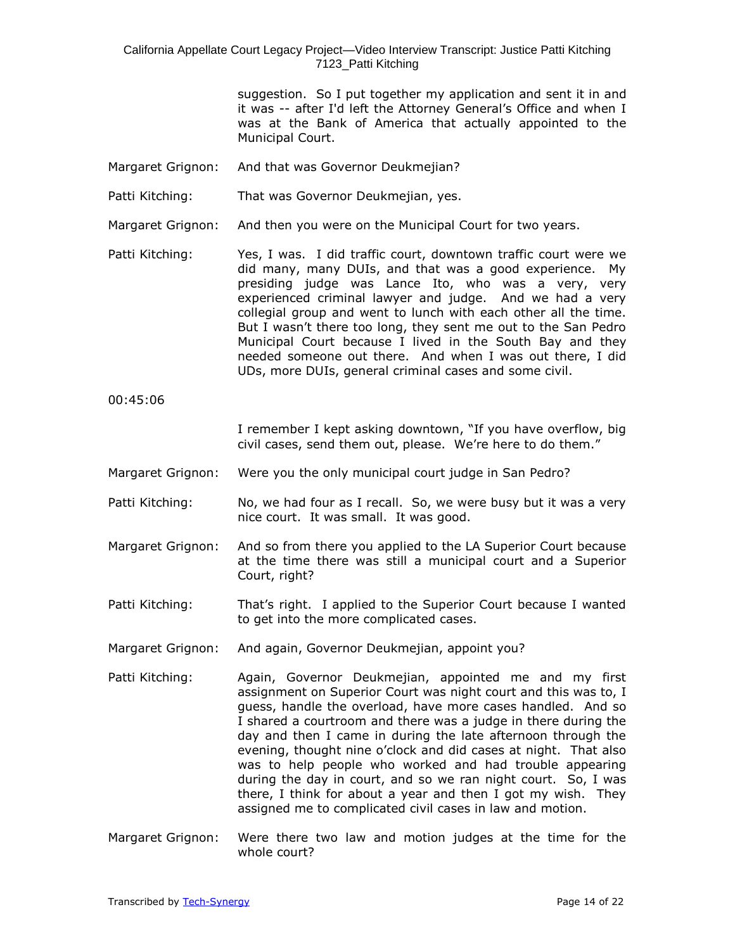> suggestion. So I put together my application and sent it in and it was -- after I'd left the Attorney General's Office and when I was at the Bank of America that actually appointed to the Municipal Court.

- Margaret Grignon: And that was Governor Deukmejian?
- Patti Kitching: That was Governor Deukmejian, yes.
- Margaret Grignon: And then you were on the Municipal Court for two years.
- Patti Kitching: Yes, I was. I did traffic court, downtown traffic court were we did many, many DUIs, and that was a good experience. My presiding judge was Lance Ito, who was a very, very experienced criminal lawyer and judge. And we had a very collegial group and went to lunch with each other all the time. But I wasn't there too long, they sent me out to the San Pedro Municipal Court because I lived in the South Bay and they needed someone out there. And when I was out there, I did UDs, more DUIs, general criminal cases and some civil.
- 00:45:06

I remember I kept asking downtown, "If you have overflow, big civil cases, send them out, please. We're here to do them."

- Margaret Grignon: Were you the only municipal court judge in San Pedro?
- Patti Kitching: No, we had four as I recall. So, we were busy but it was a very nice court. It was small. It was good.
- Margaret Grignon: And so from there you applied to the LA Superior Court because at the time there was still a municipal court and a Superior Court, right?
- Patti Kitching: That's right. I applied to the Superior Court because I wanted to get into the more complicated cases.
- Margaret Grignon: And again, Governor Deukmejian, appoint you?
- Patti Kitching: Again, Governor Deukmejian, appointed me and my first assignment on Superior Court was night court and this was to, I guess, handle the overload, have more cases handled. And so I shared a courtroom and there was a judge in there during the day and then I came in during the late afternoon through the evening, thought nine o'clock and did cases at night. That also was to help people who worked and had trouble appearing during the day in court, and so we ran night court. So, I was there, I think for about a year and then I got my wish. They assigned me to complicated civil cases in law and motion.
- Margaret Grignon: Were there two law and motion judges at the time for the whole court?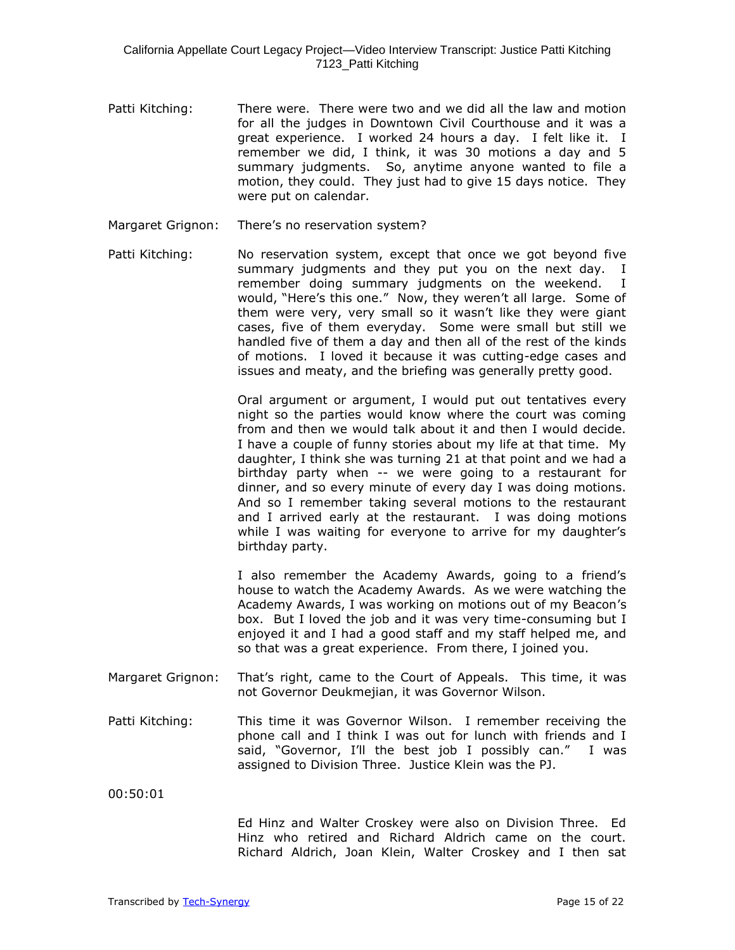- Patti Kitching: There were. There were two and we did all the law and motion for all the judges in Downtown Civil Courthouse and it was a great experience. I worked 24 hours a day. I felt like it. I remember we did, I think, it was 30 motions a day and 5 summary judgments. So, anytime anyone wanted to file a motion, they could. They just had to give 15 days notice. They were put on calendar.
- Margaret Grignon: There's no reservation system?
- Patti Kitching: No reservation system, except that once we got beyond five summary judgments and they put you on the next day. I remember doing summary judgments on the weekend. I would, "Here's this one." Now, they weren't all large. Some of them were very, very small so it wasn't like they were giant cases, five of them everyday. Some were small but still we handled five of them a day and then all of the rest of the kinds of motions. I loved it because it was cutting-edge cases and issues and meaty, and the briefing was generally pretty good.

Oral argument or argument, I would put out tentatives every night so the parties would know where the court was coming from and then we would talk about it and then I would decide. I have a couple of funny stories about my life at that time. My daughter, I think she was turning 21 at that point and we had a birthday party when -- we were going to a restaurant for dinner, and so every minute of every day I was doing motions. And so I remember taking several motions to the restaurant and I arrived early at the restaurant. I was doing motions while I was waiting for everyone to arrive for my daughter's birthday party.

I also remember the Academy Awards, going to a friend's house to watch the Academy Awards. As we were watching the Academy Awards, I was working on motions out of my Beacon's box. But I loved the job and it was very time-consuming but I enjoyed it and I had a good staff and my staff helped me, and so that was a great experience. From there, I joined you.

- Margaret Grignon: That's right, came to the Court of Appeals. This time, it was not Governor Deukmejian, it was Governor Wilson.
- Patti Kitching: This time it was Governor Wilson. I remember receiving the phone call and I think I was out for lunch with friends and I said, "Governor, I'll the best job I possibly can." I was assigned to Division Three. Justice Klein was the PJ.

00:50:01

Ed Hinz and Walter Croskey were also on Division Three. Ed Hinz who retired and Richard Aldrich came on the court. Richard Aldrich, Joan Klein, Walter Croskey and I then sat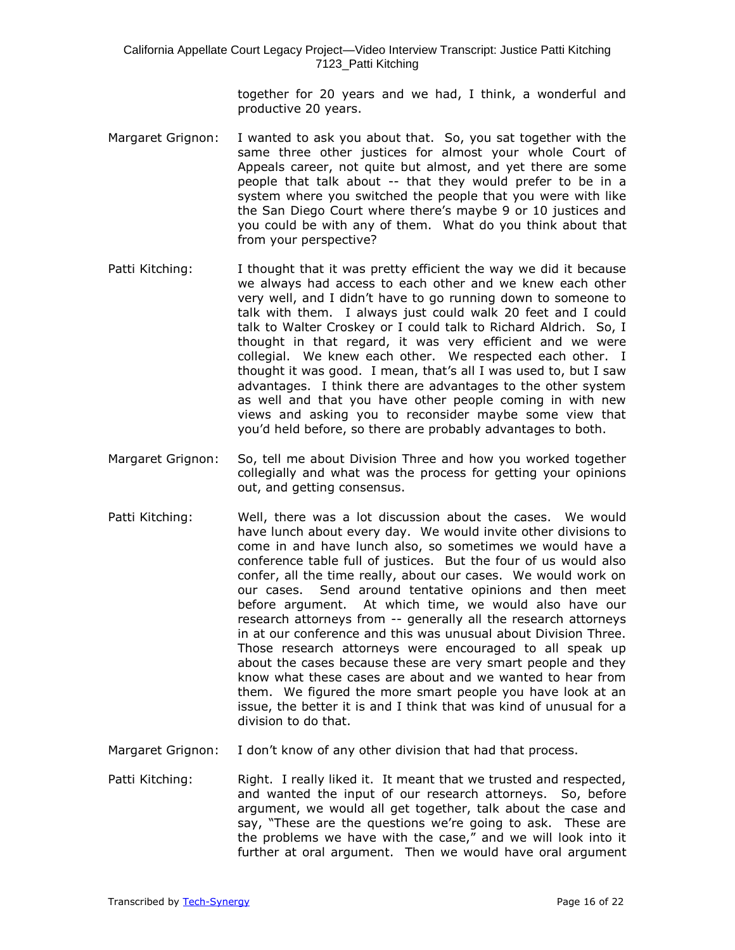together for 20 years and we had, I think, a wonderful and productive 20 years.

- Margaret Grignon: I wanted to ask you about that. So, you sat together with the same three other justices for almost your whole Court of Appeals career, not quite but almost, and yet there are some people that talk about -- that they would prefer to be in a system where you switched the people that you were with like the San Diego Court where there's maybe 9 or 10 justices and you could be with any of them. What do you think about that from your perspective?
- Patti Kitching: I thought that it was pretty efficient the way we did it because we always had access to each other and we knew each other very well, and I didn't have to go running down to someone to talk with them. I always just could walk 20 feet and I could talk to Walter Croskey or I could talk to Richard Aldrich. So, I thought in that regard, it was very efficient and we were collegial. We knew each other. We respected each other. I thought it was good. I mean, that's all I was used to, but I saw advantages. I think there are advantages to the other system as well and that you have other people coming in with new views and asking you to reconsider maybe some view that you'd held before, so there are probably advantages to both.
- Margaret Grignon: So, tell me about Division Three and how you worked together collegially and what was the process for getting your opinions out, and getting consensus.
- Patti Kitching: Well, there was a lot discussion about the cases. We would have lunch about every day. We would invite other divisions to come in and have lunch also, so sometimes we would have a conference table full of justices. But the four of us would also confer, all the time really, about our cases. We would work on our cases. Send around tentative opinions and then meet before argument. At which time, we would also have our research attorneys from -- generally all the research attorneys in at our conference and this was unusual about Division Three. Those research attorneys were encouraged to all speak up about the cases because these are very smart people and they know what these cases are about and we wanted to hear from them. We figured the more smart people you have look at an issue, the better it is and I think that was kind of unusual for a division to do that.
- Margaret Grignon: I don't know of any other division that had that process.
- Patti Kitching: Right. I really liked it. It meant that we trusted and respected, and wanted the input of our research attorneys. So, before argument, we would all get together, talk about the case and say, "These are the questions we're going to ask. These are the problems we have with the case," and we will look into it further at oral argument. Then we would have oral argument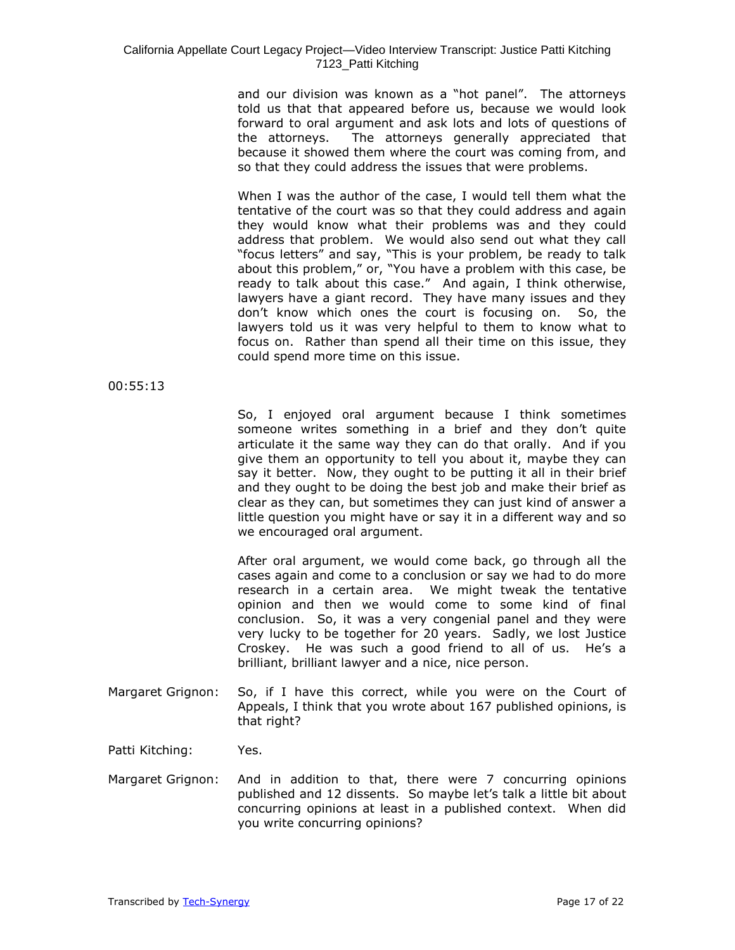and our division was known as a "hot panel". The attorneys told us that that appeared before us, because we would look forward to oral argument and ask lots and lots of questions of the attorneys. The attorneys generally appreciated that because it showed them where the court was coming from, and so that they could address the issues that were problems.

When I was the author of the case, I would tell them what the tentative of the court was so that they could address and again they would know what their problems was and they could address that problem. We would also send out what they call "focus letters" and say, "This is your problem, be ready to talk about this problem," or, "You have a problem with this case, be ready to talk about this case." And again, I think otherwise, lawyers have a giant record. They have many issues and they don't know which ones the court is focusing on. So, the lawyers told us it was very helpful to them to know what to focus on. Rather than spend all their time on this issue, they could spend more time on this issue.

00:55:13

So, I enjoyed oral argument because I think sometimes someone writes something in a brief and they don't quite articulate it the same way they can do that orally. And if you give them an opportunity to tell you about it, maybe they can say it better. Now, they ought to be putting it all in their brief and they ought to be doing the best job and make their brief as clear as they can, but sometimes they can just kind of answer a little question you might have or say it in a different way and so we encouraged oral argument.

After oral argument, we would come back, go through all the cases again and come to a conclusion or say we had to do more research in a certain area. We might tweak the tentative opinion and then we would come to some kind of final conclusion. So, it was a very congenial panel and they were very lucky to be together for 20 years. Sadly, we lost Justice Croskey. He was such a good friend to all of us. He's a brilliant, brilliant lawyer and a nice, nice person.

Margaret Grignon: So, if I have this correct, while you were on the Court of Appeals, I think that you wrote about 167 published opinions, is that right?

Patti Kitching: Yes.

Margaret Grignon: And in addition to that, there were 7 concurring opinions published and 12 dissents. So maybe let's talk a little bit about concurring opinions at least in a published context. When did you write concurring opinions?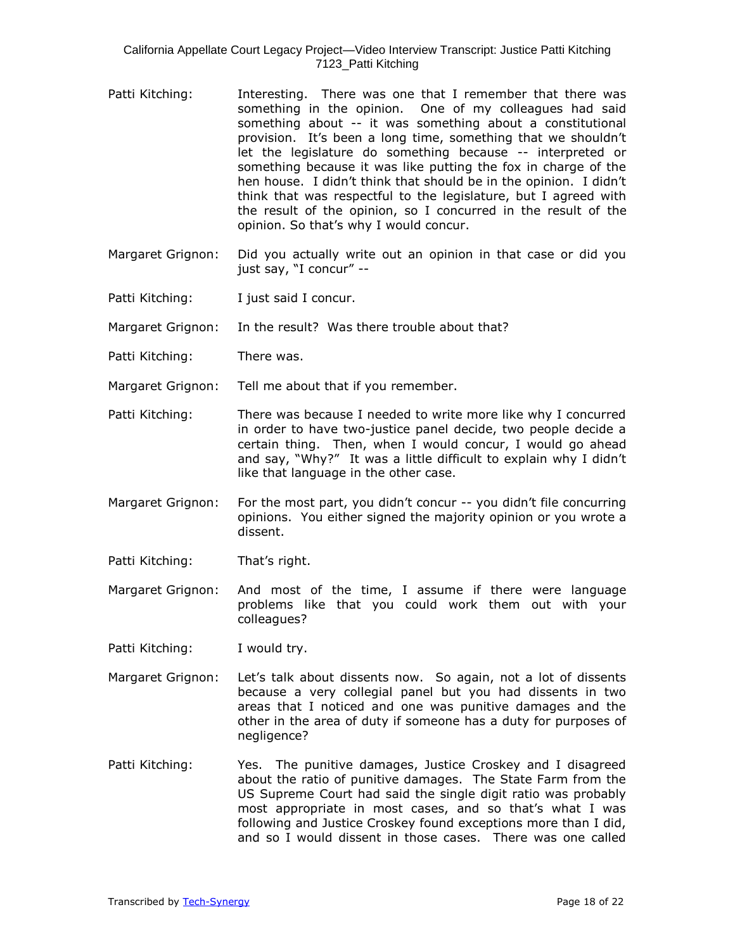- Patti Kitching: Interesting. There was one that I remember that there was something in the opinion. One of my colleagues had said something about -- it was something about a constitutional provision. It's been a long time, something that we shouldn't let the legislature do something because -- interpreted or something because it was like putting the fox in charge of the hen house. I didn't think that should be in the opinion. I didn't think that was respectful to the legislature, but I agreed with the result of the opinion, so I concurred in the result of the opinion. So that's why I would concur.
- Margaret Grignon: Did you actually write out an opinion in that case or did you just say, "I concur" --
- Patti Kitching: I just said I concur.

Margaret Grignon: In the result? Was there trouble about that?

- Patti Kitching: There was.
- Margaret Grignon: Tell me about that if you remember.
- Patti Kitching: There was because I needed to write more like why I concurred in order to have two-justice panel decide, two people decide a certain thing. Then, when I would concur, I would go ahead and say, "Why?" It was a little difficult to explain why I didn't like that language in the other case.
- Margaret Grignon: For the most part, you didn't concur -- you didn't file concurring opinions. You either signed the majority opinion or you wrote a dissent.
- Patti Kitching: That's right.
- Margaret Grignon: And most of the time, I assume if there were language problems like that you could work them out with your colleagues?
- Patti Kitching: I would try.
- Margaret Grignon: Let's talk about dissents now. So again, not a lot of dissents because a very collegial panel but you had dissents in two areas that I noticed and one was punitive damages and the other in the area of duty if someone has a duty for purposes of negligence?
- Patti Kitching: Yes. The punitive damages, Justice Croskey and I disagreed about the ratio of punitive damages. The State Farm from the US Supreme Court had said the single digit ratio was probably most appropriate in most cases, and so that's what I was following and Justice Croskey found exceptions more than I did, and so I would dissent in those cases. There was one called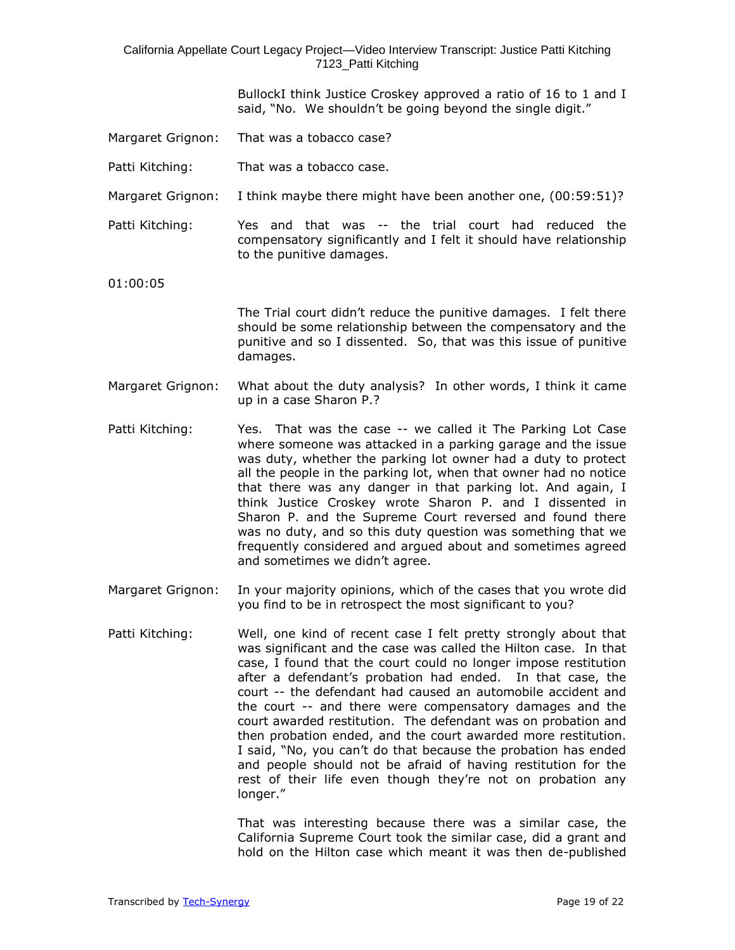> BullockI think Justice Croskey approved a ratio of 16 to 1 and I said, "No. We shouldn't be going beyond the single digit."

- Margaret Grignon: That was a tobacco case?
- Patti Kitching: That was a tobacco case.
- Margaret Grignon: I think maybe there might have been another one, (00:59:51)?

Patti Kitching: Yes and that was -- the trial court had reduced the compensatory significantly and I felt it should have relationship to the punitive damages.

01:00:05

The Trial court didn't reduce the punitive damages. I felt there should be some relationship between the compensatory and the punitive and so I dissented. So, that was this issue of punitive damages.

- Margaret Grignon: What about the duty analysis? In other words, I think it came up in a case Sharon P.?
- Patti Kitching: Yes. That was the case -- we called it The Parking Lot Case where someone was attacked in a parking garage and the issue was duty, whether the parking lot owner had a duty to protect all the people in the parking lot, when that owner had no notice that there was any danger in that parking lot. And again, I think Justice Croskey wrote Sharon P. and I dissented in Sharon P. and the Supreme Court reversed and found there was no duty, and so this duty question was something that we frequently considered and argued about and sometimes agreed and sometimes we didn't agree.
- Margaret Grignon: In your majority opinions, which of the cases that you wrote did you find to be in retrospect the most significant to you?
- Patti Kitching: Well, one kind of recent case I felt pretty strongly about that was significant and the case was called the Hilton case. In that case, I found that the court could no longer impose restitution after a defendant's probation had ended. In that case, the court -- the defendant had caused an automobile accident and the court -- and there were compensatory damages and the court awarded restitution. The defendant was on probation and then probation ended, and the court awarded more restitution. I said, "No, you can't do that because the probation has ended and people should not be afraid of having restitution for the rest of their life even though they're not on probation any longer."

That was interesting because there was a similar case, the California Supreme Court took the similar case, did a grant and hold on the Hilton case which meant it was then de-published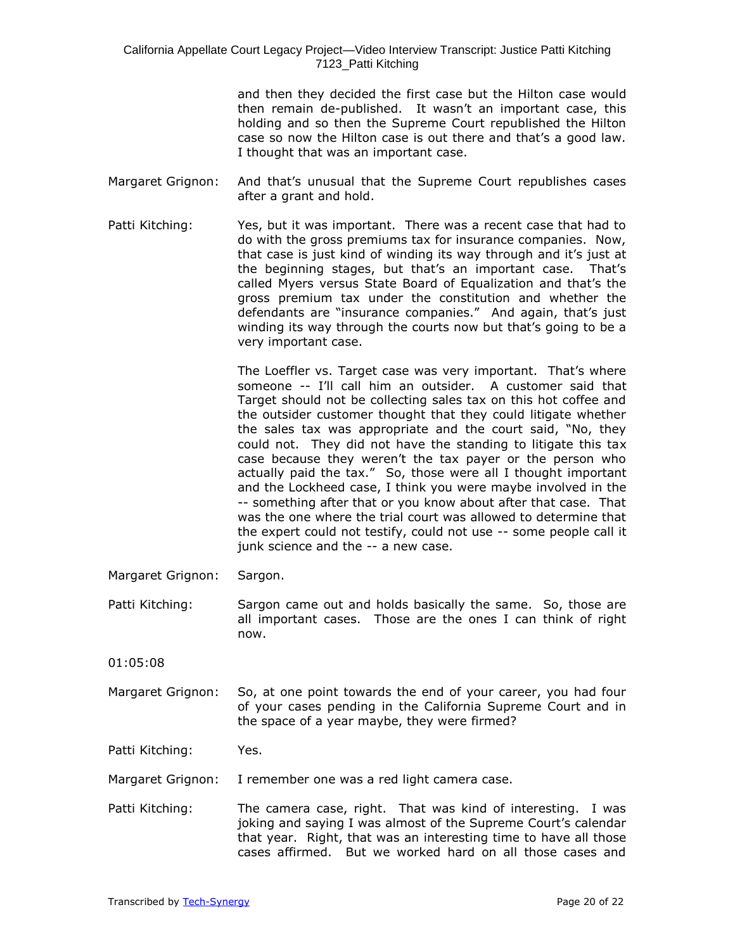and then they decided the first case but the Hilton case would then remain de-published. It wasn't an important case, this holding and so then the Supreme Court republished the Hilton case so now the Hilton case is out there and that's a good law. I thought that was an important case.

- Margaret Grignon: And that's unusual that the Supreme Court republishes cases after a grant and hold.
- Patti Kitching: Yes, but it was important. There was a recent case that had to do with the gross premiums tax for insurance companies. Now, that case is just kind of winding its way through and it's just at the beginning stages, but that's an important case. That's called Myers versus State Board of Equalization and that's the gross premium tax under the constitution and whether the defendants are "insurance companies." And again, that's just winding its way through the courts now but that's going to be a very important case.

The Loeffler vs. Target case was very important. That's where someone -- I'll call him an outsider. A customer said that Target should not be collecting sales tax on this hot coffee and the outsider customer thought that they could litigate whether the sales tax was appropriate and the court said, "No, they could not. They did not have the standing to litigate this tax case because they weren't the tax payer or the person who actually paid the tax." So, those were all I thought important and the Lockheed case, I think you were maybe involved in the -- something after that or you know about after that case. That was the one where the trial court was allowed to determine that the expert could not testify, could not use -- some people call it junk science and the -- a new case.

- Margaret Grignon: Sargon.
- Patti Kitching: Sargon came out and holds basically the same. So, those are all important cases. Those are the ones I can think of right now.
- 01:05:08
- Margaret Grignon: So, at one point towards the end of your career, you had four of your cases pending in the California Supreme Court and in the space of a year maybe, they were firmed?

Patti Kitching: Yes.

Margaret Grignon: I remember one was a red light camera case.

Patti Kitching: The camera case, right. That was kind of interesting. I was joking and saying I was almost of the Supreme Court's calendar that year. Right, that was an interesting time to have all those cases affirmed. But we worked hard on all those cases and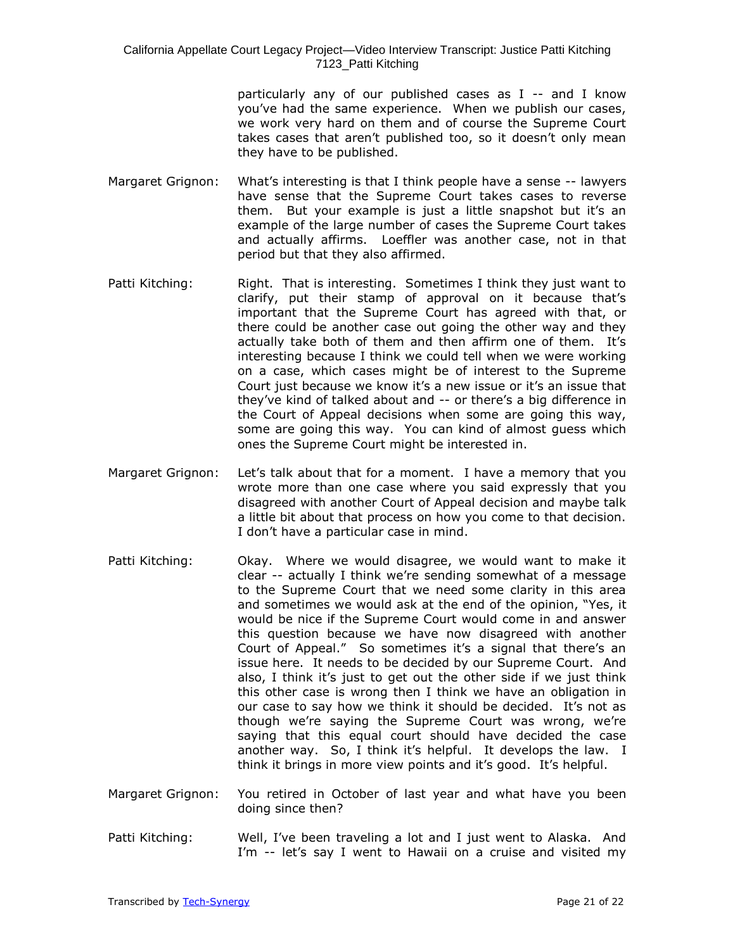particularly any of our published cases as I -- and I know you've had the same experience. When we publish our cases, we work very hard on them and of course the Supreme Court takes cases that aren't published too, so it doesn't only mean they have to be published.

- Margaret Grignon: What's interesting is that I think people have a sense -- lawyers have sense that the Supreme Court takes cases to reverse them. But your example is just a little snapshot but it's an example of the large number of cases the Supreme Court takes and actually affirms. Loeffler was another case, not in that period but that they also affirmed.
- Patti Kitching: Right. That is interesting. Sometimes I think they just want to clarify, put their stamp of approval on it because that's important that the Supreme Court has agreed with that, or there could be another case out going the other way and they actually take both of them and then affirm one of them. It's interesting because I think we could tell when we were working on a case, which cases might be of interest to the Supreme Court just because we know it's a new issue or it's an issue that they've kind of talked about and -- or there's a big difference in the Court of Appeal decisions when some are going this way, some are going this way. You can kind of almost guess which ones the Supreme Court might be interested in.
- Margaret Grignon: Let's talk about that for a moment. I have a memory that you wrote more than one case where you said expressly that you disagreed with another Court of Appeal decision and maybe talk a little bit about that process on how you come to that decision. I don't have a particular case in mind.
- Patti Kitching: Okay. Where we would disagree, we would want to make it clear -- actually I think we're sending somewhat of a message to the Supreme Court that we need some clarity in this area and sometimes we would ask at the end of the opinion, "Yes, it would be nice if the Supreme Court would come in and answer this question because we have now disagreed with another Court of Appeal." So sometimes it's a signal that there's an issue here. It needs to be decided by our Supreme Court. And also, I think it's just to get out the other side if we just think this other case is wrong then I think we have an obligation in our case to say how we think it should be decided. It's not as though we're saying the Supreme Court was wrong, we're saying that this equal court should have decided the case another way. So, I think it's helpful. It develops the law. I think it brings in more view points and it's good. It's helpful.
- Margaret Grignon: You retired in October of last year and what have you been doing since then?
- Patti Kitching: Well, I've been traveling a lot and I just went to Alaska. And I'm -- let's say I went to Hawaii on a cruise and visited my